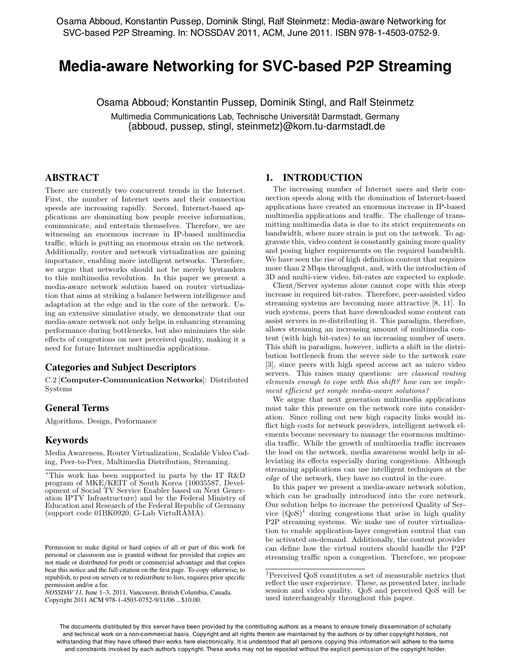# **Media-aware Networking for SVC-based P2P Streaming**

Osama Abboud; Konstantin Pussep, Dominik Stingl, and Ralf Steinmetz

Multimedia Communications Lab, Technische Universität Darmstadt, Germany {abboud, pussep, stingl, steinmetz}@kom.tu-darmstadt.de

## ABSTRACT

There are currently two concurrent trends in the Internet. First, the number of Internet users and their connection speeds are increasing rapidly. Second, Internet-based applications are dominating how people receive information, communicate, and entertain themselves. Therefore, we are witnessing an enormous increase in IP-based multimedia traffic, which is putting an enormous strain on the network. Additionally, router and network virtualization are gaining importance, enabling more intelligent networks. Therefore, we argue that networks should not be merely bystanders to this multimedia revolution. In this paper we present a media-aware network solution based on router virtualization that aims at striking a balance between intelligence and adaptation at the edge and in the core of the network. Using an extensive simulative study, we demonstrate that our media-aware network not only helps in enhancing streaming performance during bottlenecks, but also minimizes the side effects of congestions on user perceived quality, making it a need for future Internet multimedia applications.

## Categories and Subject Descriptors

C.2 [Computer-Communication Networks]: Distributed Systems

## General Terms

Algorithms, Design, Performance

## Keywords

Media Awareness, Router Virtualization, Scalable Video Coding, Peer-to-Peer, Multimedia Distribution, Streaming.

*NOSSDAV'11,* June 1–3, 2011, Vancouver, British Columbia, Canada. Copyright 2011 ACM 978-1-4503-0752-9/11/06 ...\$10.00.

## 1. INTRODUCTION

The increasing number of Internet users and their connection speeds along with the domination of Internet-based applications have created an enormous increase in IP-based multimedia applications and traffic. The challenge of transmitting multimedia data is due to its strict requirements on bandwidth, where more strain is put on the network. To aggravate this, video content is constantly gaining more quality and posing higher requirements on the required bandwidth. We have seen the rise of high definition content that requires more than 2 Mbps throughput, and, with the introduction of 3D and multi-view video, bit-rates are expected to explode.

Client/Server systems alone cannot cope with this steep increase in required bit-rates. Therefore, peer-assisted video streaming systems are becoming more attractive [8, 11]. In such systems, peers that have downloaded some content can assist servers in re-distributing it. This paradigm, therefore, allows streaming an increasing amount of multimedia content (with high bit-rates) to an increasing number of users. This shift in paradigm, however, inflicts a shift in the distribution bottleneck from the server side to the network core [3], since peers with high speed access act as micro video servers. This raises many questions: *are classical routing elements enough to cope with this shift? how can we implement e*ffi*cient yet simple media-aware solutions?*

We argue that next generation multimedia applications must take this pressure on the network core into consideration. Since rolling out new high capacity links would inflict high costs for network providers, intelligent network elements become necessary to manage the enormous multimedia traffic. While the growth of multimedia traffic increases the load on the network, media awareness would help in alleviating its effects especially during congestions. Although streaming applications can use intelligent techniques at the *edge* of the network, they have no control in the core.

In this paper we present a media-aware network solution, which can be gradually introduced into the core network. Our solution helps to increase the perceived Quality of Service  $(QoS)^1$  during congestions that arise in high quality P2P streaming systems. We make use of router virtualization to enable application-layer congestion control that can be activated on-demand. Additionally, the content provider can define how the virtual routers should handle the P2P streaming traffic upon a congestion. Therefore, we propose

<sup>∗</sup>This work has been supported in parts by the IT R&D program of MKE/KEIT of South Korea (10035587, Development of Social TV Service Enabler based on Next Generation IPTV Infrastructure) and by the Federal Ministry of Education and Research of the Federal Republic of Germany (support code 01BK0920, G-Lab VirtuRAMA).

Permission to make digital or hard copies of all or part of this work for personal or classroom use is granted without fee provided that copies are not made or distributed for profit or commercial advantage and that copies bear this notice and the full citation on the first page. To copy otherwise, to republish, to post on servers or to redistribute to lists, requires prior specific permission and/or a fee.

 $^1\!$  Perceived QoS constitutes a set of measurable metrics that reflect the user experience. These, as presented later, include session and video quality. QoS and perceived QoS will be used interchangeably throughout this paper.

The documents distributed by this server have been provided by the contributing authors as a means to ensure timely dissemination of scholarly and technical work on a non-commercial basis. Copyright and all rights therein are maintained by the authors or by other copyright holders, not withstanding that they have offered their works here electronically. It is understood that all persons copying this information will adhere to the terms and constraints invoked by each author's copyright. These works may not be reposted without the explicit permission of the copyright holder.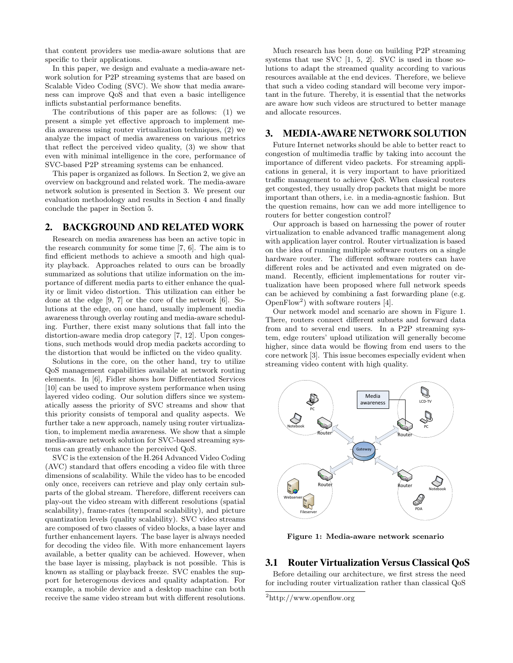that content providers use media-aware solutions that are specific to their applications.

In this paper, we design and evaluate a media-aware network solution for P2P streaming systems that are based on Scalable Video Coding (SVC). We show that media awareness can improve QoS and that even a basic intelligence inflicts substantial performance benefits.

The contributions of this paper are as follows: (1) we present a simple yet effective approach to implement media awareness using router virtualization techniques, (2) we analyze the impact of media awareness on various metrics that reflect the perceived video quality, (3) we show that even with minimal intelligence in the core, performance of SVC-based P2P streaming systems can be enhanced.

This paper is organized as follows. In Section 2, we give an overview on background and related work. The media-aware network solution is presented in Section 3. We present our evaluation methodology and results in Section 4 and finally conclude the paper in Section 5.

## 2. BACKGROUND AND RELATED WORK

Research on media awareness has been an active topic in the research community for some time [7, 6]. The aim is to find efficient methods to achieve a smooth and high quality playback. Approaches related to ours can be broadly summarized as solutions that utilize information on the importance of different media parts to either enhance the quality or limit video distortion. This utilization can either be done at the edge [9, 7] or the core of the network [6]. Solutions at the edge, on one hand, usually implement media awareness through overlay routing and media-aware scheduling. Further, there exist many solutions that fall into the distortion-aware media drop category [7, 12]. Upon congestions, such methods would drop media packets according to the distortion that would be inflicted on the video quality.

Solutions in the core, on the other hand, try to utilize QoS management capabilities available at network routing elements. In [6], Fidler shows how Differentiated Services [10] can be used to improve system performance when using layered video coding. Our solution differs since we systematically assess the priority of SVC streams and show that this priority consists of temporal and quality aspects. We further take a new approach, namely using router virtualization, to implement media awareness. We show that a simple media-aware network solution for SVC-based streaming systems can greatly enhance the perceived QoS.

SVC is the extension of the H.264 Advanced Video Coding (AVC) standard that offers encoding a video file with three dimensions of scalability. While the video has to be encoded only once, receivers can retrieve and play only certain subparts of the global stream. Therefore, different receivers can play-out the video stream with different resolutions (spatial scalability), frame-rates (temporal scalability), and picture quantization levels (quality scalability). SVC video streams are composed of two classes of video blocks, a base layer and further enhancement layers. The base layer is always needed for decoding the video file. With more enhancement layers available, a better quality can be achieved. However, when the base layer is missing, playback is not possible. This is known as stalling or playback freeze. SVC enables the support for heterogenous devices and quality adaptation. For example, a mobile device and a desktop machine can both receive the same video stream but with different resolutions.

Much research has been done on building P2P streaming systems that use SVC [1, 5, 2]. SVC is used in those solutions to adapt the streamed quality according to various resources available at the end devices. Therefore, we believe that such a video coding standard will become very important in the future. Thereby, it is essential that the networks are aware how such videos are structured to better manage and allocate resources.

## 3. MEDIA-AWARE NETWORK SOLUTION

Future Internet networks should be able to better react to congestion of multimedia traffic by taking into account the importance of different video packets. For streaming applications in general, it is very important to have prioritized traffic management to achieve QoS. When classical routers get congested, they usually drop packets that might be more important than others, i.e. in a media-agnostic fashion. But the question remains, how can we add more intelligence to routers for better congestion control?

Our approach is based on harnessing the power of router virtualization to enable advanced traffic management along with application layer control. Router virtualization is based on the idea of running multiple software routers on a single hardware router. The different software routers can have different roles and be activated and even migrated on demand. Recently, efficient implementations for router virtualization have been proposed where full network speeds can be achieved by combining a fast forwarding plane (e.g. OpenFlow<sup>2</sup>) with software routers [4].

Our network model and scenario are shown in Figure 1. There, routers connect different subnets and forward data from and to several end users. In a P2P streaming system, edge routers' upload utilization will generally become higher, since data would be flowing from end users to the core network [3]. This issue becomes especially evident when streaming video content with high quality.



Figure 1: Media-aware network scenario

#### 3.1 Router Virtualization Versus Classical QoS

Before detailing our architecture, we first stress the need for including router virtualization rather than classical QoS

<sup>2</sup>http://www.openflow.org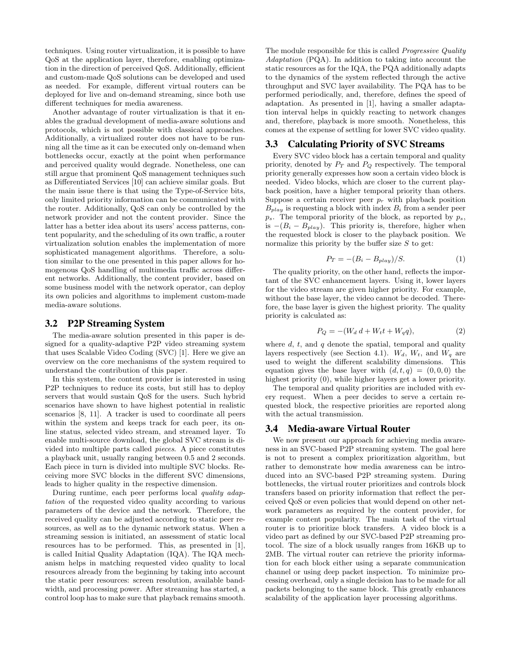techniques. Using router virtualization, it is possible to have QoS at the application layer, therefore, enabling optimization in the direction of perceived QoS. Additionally, efficient and custom-made QoS solutions can be developed and used as needed. For example, different virtual routers can be deployed for live and on-demand streaming, since both use different techniques for media awareness.

Another advantage of router virtualization is that it enables the gradual development of media-aware solutions and protocols, which is not possible with classical approaches. Additionally, a virtualized router does not have to be running all the time as it can be executed only on-demand when bottlenecks occur, exactly at the point when performance and perceived quality would degrade. Nonetheless, one can still argue that prominent QoS management techniques such as Differentiated Services [10] can achieve similar goals. But the main issue there is that using the Type-of-Service bits, only limited priority information can be communicated with the router. Additionally, QoS can only be controlled by the network provider and not the content provider. Since the latter has a better idea about its users' access patterns, content popularity, and the scheduling of its own traffic, a router virtualization solution enables the implementation of more sophisticated management algorithms. Therefore, a solution similar to the one presented in this paper allows for homogenous QoS handling of multimedia traffic across different networks. Additionally, the content provider, based on some business model with the network operator, can deploy its own policies and algorithms to implement custom-made media-aware solutions.

## 3.2 P2P Streaming System

The media-aware solution presented in this paper is designed for a quality-adaptive P2P video streaming system that uses Scalable Video Coding (SVC) [1]. Here we give an overview on the core mechanisms of the system required to understand the contribution of this paper.

In this system, the content provider is interested in using P2P techniques to reduce its costs, but still has to deploy servers that would sustain QoS for the users. Such hybrid scenarios have shown to have highest potential in realistic scenarios [8, 11]. A tracker is used to coordinate all peers within the system and keeps track for each peer, its online status, selected video stream, and streamed layer. To enable multi-source download, the global SVC stream is divided into multiple parts called *pieces*. A piece constitutes a playback unit, usually ranging between 0.5 and 2 seconds. Each piece in turn is divided into multiple SVC blocks. Receiving more SVC blocks in the different SVC dimensions, leads to higher quality in the respective dimension.

During runtime, each peer performs local *quality adaptation* of the requested video quality according to various parameters of the device and the network. Therefore, the received quality can be adjusted according to static peer resources, as well as to the dynamic network status. When a streaming session is initiated, an assessment of static local resources has to be performed. This, as presented in [1], is called Initial Quality Adaptation (IQA). The IQA mechanism helps in matching requested video quality to local resources already from the beginning by taking into account the static peer resources: screen resolution, available bandwidth, and processing power. After streaming has started, a control loop has to make sure that playback remains smooth.

The module responsible for this is called *Progressive Quality Adaptation* (PQA). In addition to taking into account the static resources as for the IQA, the PQA additionally adapts to the dynamics of the system reflected through the active throughput and SVC layer availability. The PQA has to be performed periodically, and, therefore, defines the speed of adaptation. As presented in [1], having a smaller adaptation interval helps in quickly reacting to network changes and, therefore, playback is more smooth. Nonetheless, this comes at the expense of settling for lower SVC video quality.

## 3.3 Calculating Priority of SVC Streams

Every SVC video block has a certain temporal and quality priority, denoted by *P<sup>T</sup>* and *P<sup>Q</sup>* respectively. The temporal priority generally expresses how soon a certain video block is needed. Video blocks, which are closer to the current playback position, have a higher temporal priority than others. Suppose a certain receiver peer  $p_r$  with playback position  $B_{play}$  is requesting a block with index  $B_i$  from a sender peer  $p_s$ . The temporal priority of the block, as reported by  $p_s$ , is  $-(B_i - B_{play})$ . This priority is, therefore, higher when the requested block is closer to the playback position. We normalize this priority by the buffer size *S* to get:

$$
P_T = -(B_i - B_{play})/S.
$$
 (1)

The quality priority, on the other hand, reflects the important of the SVC enhancement layers. Using it, lower layers for the video stream are given higher priority. For example, without the base layer, the video cannot be decoded. Therefore, the base layer is given the highest priority. The quality priority is calculated as:

$$
P_Q = -(W_d \, d + W_t t + W_q q), \tag{2}
$$

where  $d$ ,  $t$ , and  $q$  denote the spatial, temporal and quality layers respectively (see Section 4.1).  $W_d$ ,  $W_t$ , and  $W_q$  are used to weight the different scalability dimensions. This equation gives the base layer with  $(d, t, q) = (0, 0, 0)$  the highest priority  $(0)$ , while higher layers get a lower priority.

The temporal and quality priorities are included with every request. When a peer decides to serve a certain requested block, the respective priorities are reported along with the actual transmission.

#### 3.4 Media-aware Virtual Router

We now present our approach for achieving media awareness in an SVC-based P2P streaming system. The goal here is not to present a complex prioritization algorithm, but rather to demonstrate how media awareness can be introduced into an SVC-based P2P streaming system. During bottlenecks, the virtual router prioritizes and controls block transfers based on priority information that reflect the perceived QoS or even policies that would depend on other network parameters as required by the content provider, for example content popularity. The main task of the virtual router is to prioritize block transfers. A video block is a video part as defined by our SVC-based P2P streaming protocol. The size of a block usually ranges from 16KB up to 2MB. The virtual router can retrieve the priority information for each block either using a separate communication channel or using deep packet inspection. To minimize processing overhead, only a single decision has to be made for all packets belonging to the same block. This greatly enhances scalability of the application layer processing algorithms.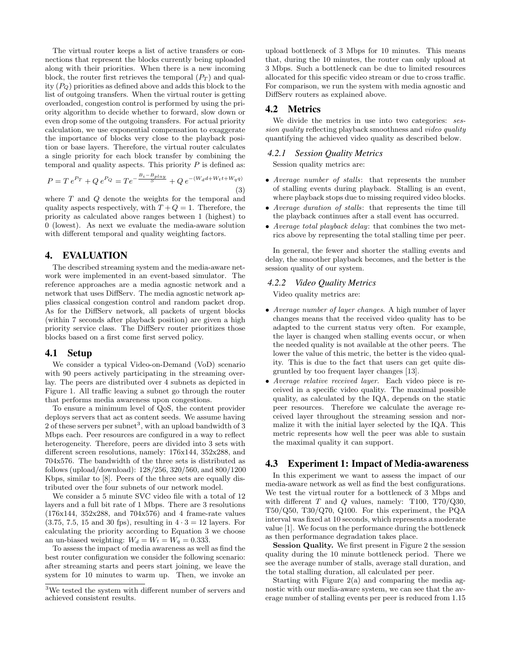The virtual router keeps a list of active transfers or connections that represent the blocks currently being uploaded along with their priorities. When there is a new incoming block, the router first retrieves the temporal  $(P_T)$  and quality (*PQ*) priorities as defined above and adds this block to the list of outgoing transfers. When the virtual router is getting overloaded, congestion control is performed by using the priority algorithm to decide whether to forward, slow down or even drop some of the outgoing transfers. For actual priority calculation, we use exponential compensation to exaggerate the importance of blocks very close to the playback position or base layers. Therefore, the virtual router calculates a single priority for each block transfer by combining the temporal and quality aspects. This priority *P* is defined as:

$$
P = T e^{P_T} + Q e^{P_Q} = T e^{-\frac{B_i - B_{play}}{S}} + Q e^{-(W_d d + W_t t + W_q q)}
$$
\n(3)

where *T* and *Q* denote the weights for the temporal and quality aspects respectively, with  $T+Q=1$ . Therefore, the priority as calculated above ranges between 1 (highest) to 0 (lowest). As next we evaluate the media-aware solution with different temporal and quality weighting factors.

# 4. EVALUATION

The described streaming system and the media-aware network were implemented in an event-based simulator. The reference approaches are a media agnostic network and a network that uses DiffServ. The media agnostic network applies classical congestion control and random packet drop. As for the DiffServ network, all packets of urgent blocks (within 7 seconds after playback position) are given a high priority service class. The DiffServ router prioritizes those blocks based on a first come first served policy.

#### 4.1 Setup

We consider a typical Video-on-Demand (VoD) scenario with 90 peers actively participating in the streaming overlay. The peers are distributed over 4 subnets as depicted in Figure 1. All traffic leaving a subnet go through the router that performs media awareness upon congestions.

To ensure a minimum level of QoS, the content provider deploys servers that act as content seeds. We assume having 2 of these servers per subnet<sup>3</sup>, with an upload bandwidth of 3 Mbps each. Peer resources are configured in a way to reflect heterogeneity. Therefore, peers are divided into 3 sets with different screen resolutions, namely: 176x144, 352x288, and 704x576. The bandwidth of the three sets is distributed as follows (upload/download): 128/256, 320/560, and 800/1200 Kbps, similar to [8]. Peers of the three sets are equally distributed over the four subnets of our network model.

We consider a 5 minute SVC video file with a total of 12 layers and a full bit rate of 1 Mbps. There are 3 resolutions (176x144, 352x288, and 704x576) and 4 frame-rate values  $(3.75, 7.5, 15, 15, 10, 10)$ , resulting in  $4 \cdot 3 = 12$  layers. For calculating the priority according to Equation 3 we choose an un-biased weighting:  $W_d = W_t = W_q = 0.33\overline{3}$ .

To assess the impact of media awareness as well as find the best router configuration we consider the following scenario: after streaming starts and peers start joining, we leave the system for 10 minutes to warm up. Then, we invoke an upload bottleneck of 3 Mbps for 10 minutes. This means that, during the 10 minutes, the router can only upload at 3 Mbps. Such a bottleneck can be due to limited resources allocated for this specific video stream or due to cross traffic. For comparison, we run the system with media agnostic and DiffServ routers as explained above.

## 4.2 Metrics

We divide the metrics in use into two categories: *session quality* reflecting playback smoothness and *video quality* quantifying the achieved video quality as described below.

#### *4.2.1 Session Quality Metrics*

Session quality metrics are:

- *• Average number of stalls*: that represents the number of stalling events during playback. Stalling is an event, where playback stops due to missing required video blocks.
- *• Average duration of stalls*: that represents the time till the playback continues after a stall event has occurred.
- *• Average total playback delay*: that combines the two metrics above by representing the total stalling time per peer.

In general, the fewer and shorter the stalling events and delay, the smoother playback becomes, and the better is the session quality of our system.

#### *4.2.2 Video Quality Metrics*

Video quality metrics are:

- *• Average number of layer changes*. A high number of layer changes means that the received video quality has to be adapted to the current status very often. For example, the layer is changed when stalling events occur, or when the needed quality is not available at the other peers. The lower the value of this metric, the better is the video quality. This is due to the fact that users can get quite disgruntled by too frequent layer changes [13].
- *• Average relative received layer*. Each video piece is received in a specific video quality. The maximal possible quality, as calculated by the IQA, depends on the static peer resources. Therefore we calculate the average received layer throughout the streaming session and normalize it with the initial layer selected by the IQA. This metric represents how well the peer was able to sustain the maximal quality it can support.

## 4.3 Experiment 1: Impact of Media-awareness

In this experiment we want to assess the impact of our media-aware network as well as find the best configurations. We test the virtual router for a bottleneck of 3 Mbps and with different *T* and *Q* values, namely: T100, T70/Q30, T50/Q50, T30/Q70, Q100. For this experiment, the PQA interval was fixed at 10 seconds, which represents a moderate value [1]. We focus on the performance during the bottleneck as then performance degradation takes place.

Session Quality. We first present in Figure 2 the session quality during the 10 minute bottleneck period. There we see the average number of stalls, average stall duration, and the total stalling duration, all calculated per peer.

Starting with Figure  $2(a)$  and comparing the media agnostic with our media-aware system, we can see that the average number of stalling events per peer is reduced from 1.15

 ${}^{3}\mathrm{We}$  tested the system with different number of servers and achieved consistent results.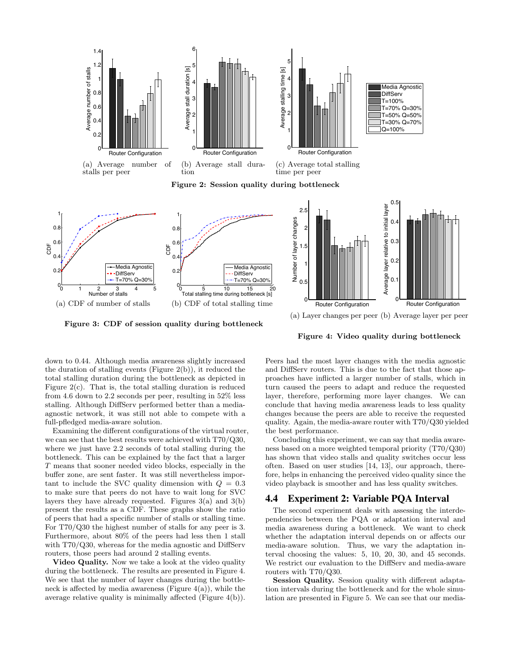

 $\Omega$ 

Router Configuration

 $\frac{1}{\sqrt{0}}$  1 2 3 4 5<br>
Number of stalls  $\frac{3}{10}$ (a) CDF of number of stalls 0<br>
0 5 10 15 20<br>
Total stalling time during bottleneck [s] (b) CDF of total stalling time

Figure 3: CDF of session quality during bottleneck

(a) Layer changes per peer (b) Average layer per peer

 $\Omega$ 

Router Configuration

Figure 4: Video quality during bottleneck

down to 0.44. Although media awareness slightly increased the duration of stalling events (Figure 2(b)), it reduced the total stalling duration during the bottleneck as depicted in Figure  $2(c)$ . That is, the total stalling duration is reduced from 4.6 down to 2.2 seconds per peer, resulting in 52% less stalling. Although DiffServ performed better than a mediaagnostic network, it was still not able to compete with a full-pfledged media-aware solution.

Examining the different configurations of the virtual router, we can see that the best results were achieved with T70/Q30, where we just have 2.2 seconds of total stalling during the bottleneck. This can be explained by the fact that a larger *T* means that sooner needed video blocks, especially in the buffer zone, are sent faster. It was still nevertheless important to include the SVC quality dimension with  $Q = 0.3$ to make sure that peers do not have to wait long for SVC layers they have already requested. Figures 3(a) and 3(b) present the results as a CDF. These graphs show the ratio of peers that had a specific number of stalls or stalling time. For T70/Q30 the highest number of stalls for any peer is 3. Furthermore, about 80% of the peers had less then 1 stall with T70/Q30, whereas for the media agnostic and DiffServ routers, those peers had around 2 stalling events.

Video Quality. Now we take a look at the video quality during the bottleneck. The results are presented in Figure 4. We see that the number of layer changes during the bottleneck is affected by media awareness (Figure  $4(a)$ ), while the average relative quality is minimally affected (Figure 4(b)). Peers had the most layer changes with the media agnostic and DiffServ routers. This is due to the fact that those approaches have inflicted a larger number of stalls, which in turn caused the peers to adapt and reduce the requested layer, therefore, performing more layer changes. We can conclude that having media awareness leads to less quality changes because the peers are able to receive the requested quality. Again, the media-aware router with T70/Q30 yielded the best performance.

Concluding this experiment, we can say that media awareness based on a more weighted temporal priority (T70/Q30) has shown that video stalls and quality switches occur less often. Based on user studies [14, 13], our approach, therefore, helps in enhancing the perceived video quality since the video playback is smoother and has less quality switches.

#### 4.4 Experiment 2: Variable PQA Interval

The second experiment deals with assessing the interdependencies between the PQA or adaptation interval and media awareness during a bottleneck. We want to check whether the adaptation interval depends on or affects our media-aware solution. Thus, we vary the adaptation interval choosing the values: 5, 10, 20, 30, and 45 seconds. We restrict our evaluation to the DiffServ and media-aware routers with T70/Q30.

Session Quality. Session quality with different adaptation intervals during the bottleneck and for the whole simulation are presented in Figure 5. We can see that our media-